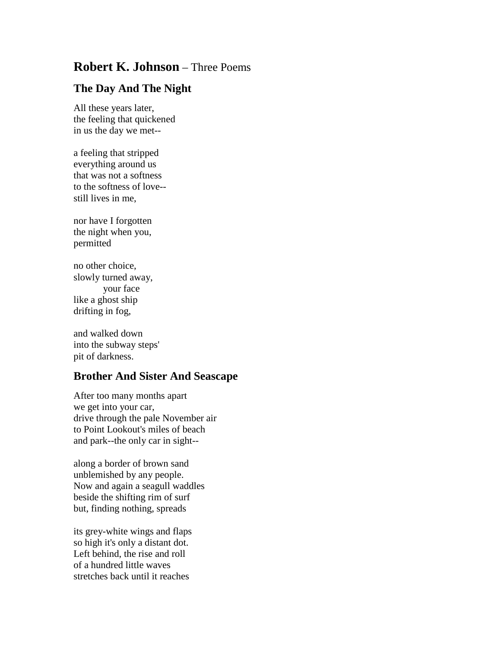## **Robert K. Johnson** – Three Poems

## **The Day And The Night**

All these years later, the feeling that quickened in us the day we met--

a feeling that stripped everything around us that was not a softness to the softness of love- still lives in me,

nor have I forgotten the night when you, permitted

no other choice, slowly turned away, your face like a ghost ship drifting in fog,

and walked down into the subway steps' pit of darkness.

## **Brother And Sister And Seascape**

After too many months apart we get into your car, drive through the pale November air to Point Lookout's miles of beach and park--the only car in sight--

along a border of brown sand unblemished by any people. Now and again a seagull waddles beside the shifting rim of surf but, finding nothing, spreads

its grey-white wings and flaps so high it's only a distant dot. Left behind, the rise and roll of a hundred little waves stretches back until it reaches